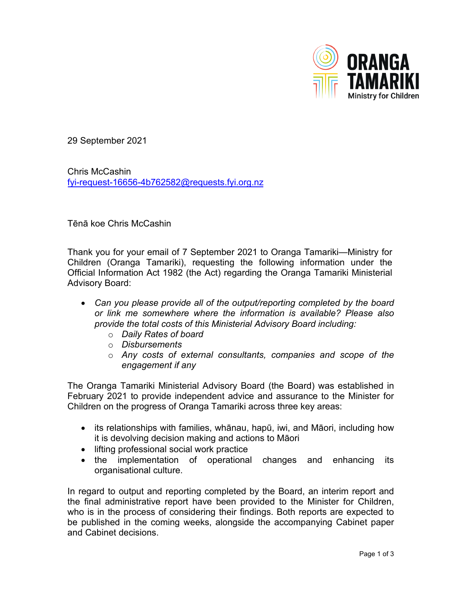

29 September 2021

Chris McCashin [fyi-request-16656-4b762582@requests.fyi.org.nz](mailto:fyi-request-16656-4b762582@requests.fyi.org.nz)

Tēnā koe Chris McCashin

Thank you for your email of 7 September 2021 to Oranga Tamariki—Ministry for Children (Oranga Tamariki), requesting the following information under the Official Information Act 1982 (the Act) regarding the Oranga Tamariki Ministerial Advisory Board:

- *Can you please provide all of the output/reporting completed by the board or link me somewhere where the information is available? Please also provide the total costs of this Ministerial Advisory Board including:*
	- o *Daily Rates of board*
	- o *Disbursements*
	- o *Any costs of external consultants, companies and scope of the engagement if any*

The Oranga Tamariki Ministerial Advisory Board (the Board) was established in February 2021 to provide independent advice and assurance to the Minister for Children on the progress of Oranga Tamariki across three key areas:

- its relationships with families, whānau, hapū, iwi, and Māori, including how it is devolving decision making and actions to Māori
- lifting professional social work practice
- the implementation of operational changes and enhancing its organisational culture.

In regard to output and reporting completed by the Board, an interim report and the final administrative report have been provided to the Minister for Children, who is in the process of considering their findings. Both reports are expected to be published in the coming weeks, alongside the accompanying Cabinet paper and Cabinet decisions.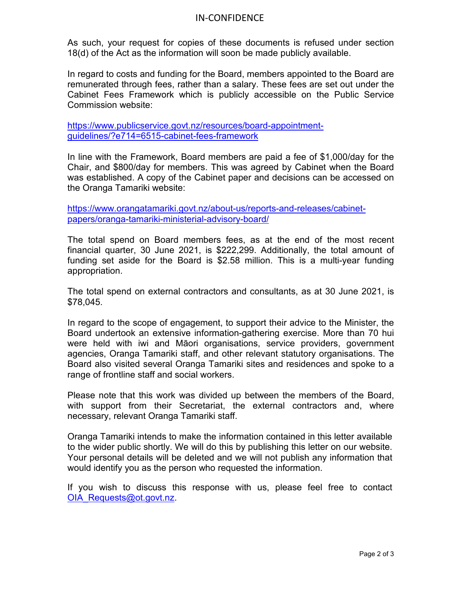## IN-CONFIDENCE

As such, your request for copies of these documents is refused under section 18(d) of the Act as the information will soon be made publicly available.

In regard to costs and funding for the Board, members appointed to the Board are remunerated through fees, rather than a salary. These fees are set out under the Cabinet Fees Framework which is publicly accessible on the Public Service Commission website:

[https://www.publicservice.govt.nz/resources/board-appointment](https://www.publicservice.govt.nz/resources/board-appointment-guidelines/?e714=6515-cabinet-fees-framework)[guidelines/?e714=6515-cabinet-fees-](https://www.publicservice.govt.nz/resources/board-appointment-guidelines/?e714=6515-cabinet-fees-framework)framework

In line with the Framework, Board members are paid a fee of \$1,000/day for the Chair, and \$800/day for members. This was agreed by Cabinet when the Board was established. A copy of the Cabinet paper and decisions can be accessed on the Oranga Tamariki website:

[https://www.orangatamariki.govt.nz/about](https://www.orangatamariki.govt.nz/about-us/reports-and-releases/cabinet-papers/oranga-tamariki-ministerial-advisory-board/)-us/reports-and-releases/cabinetpapers/oranga-tamariki[-ministerial-advisory-board/](https://www.orangatamariki.govt.nz/about-us/reports-and-releases/cabinet-papers/oranga-tamariki-ministerial-advisory-board/) 

The total spend on Board members fees, as at the end of the most recent financial quarter, 30 June 2021, is \$222,299. Additionally, the total amount of funding set aside for the Board is \$2.58 million. This is a multi-year funding appropriation.

The total spend on external contractors and consultants, as at 30 June 2021, is \$78,045.

In regard to the scope of engagement, to support their advice to the Minister, the Board undertook an extensive information-gathering exercise. More than 70 hui were held with iwi and Māori organisations, service providers, government agencies, Oranga Tamariki staff, and other relevant statutory organisations. The Board also visited several Oranga Tamariki sites and residences and spoke to a range of frontline staff and social workers.

Please note that this work was divided up between the members of the Board, with support from their Secretariat, the external contractors and, where necessary, relevant Oranga Tamariki staff.

Oranga Tamariki intends to make the information contained in this letter available to the wider public shortly. We will do this by publishing this letter on our website. Your personal details will be deleted and we will not publish any information that would identify you as the person who requested the information.

If you wish to discuss this response with us, please feel free to contact [OIA\\_Requests@ot.govt.nz.](mailto:OIA_Requests@ot.govt.nz)